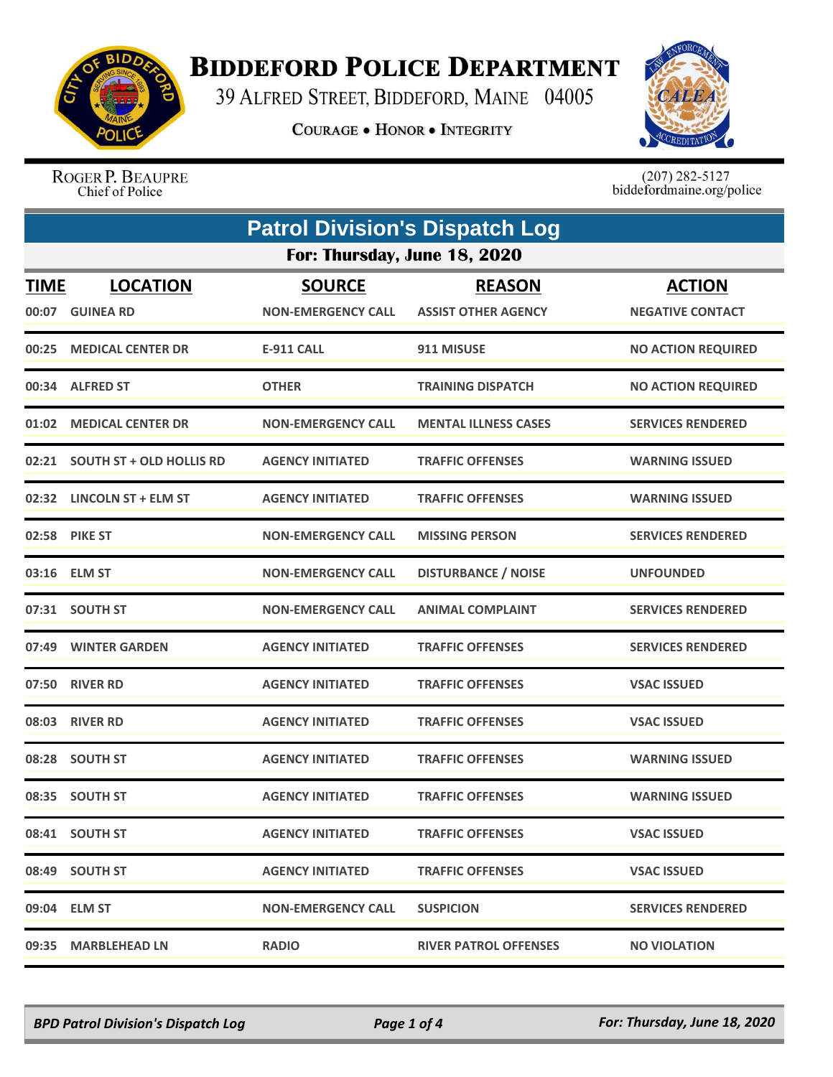

## **BIDDEFORD POLICE DEPARTMENT**

39 ALFRED STREET, BIDDEFORD, MAINE 04005

**COURAGE . HONOR . INTEGRITY** 



ROGER P. BEAUPRE Chief of Police

 $(207)$  282-5127<br>biddefordmaine.org/police

|                      | <b>Patrol Division's Dispatch Log</b> |                                            |                                             |                                          |  |
|----------------------|---------------------------------------|--------------------------------------------|---------------------------------------------|------------------------------------------|--|
|                      | For: Thursday, June 18, 2020          |                                            |                                             |                                          |  |
| <b>TIME</b><br>00:07 | <b>LOCATION</b><br><b>GUINEA RD</b>   | <b>SOURCE</b><br><b>NON-EMERGENCY CALL</b> | <b>REASON</b><br><b>ASSIST OTHER AGENCY</b> | <b>ACTION</b><br><b>NEGATIVE CONTACT</b> |  |
| 00:25                | <b>MEDICAL CENTER DR</b>              | <b>E-911 CALL</b>                          | 911 MISUSE                                  | <b>NO ACTION REQUIRED</b>                |  |
|                      | 00:34 ALFRED ST                       | <b>OTHER</b>                               | <b>TRAINING DISPATCH</b>                    | <b>NO ACTION REQUIRED</b>                |  |
| 01:02                | <b>MEDICAL CENTER DR</b>              | <b>NON-EMERGENCY CALL</b>                  | <b>MENTAL ILLNESS CASES</b>                 | <b>SERVICES RENDERED</b>                 |  |
|                      | 02:21 SOUTH ST + OLD HOLLIS RD        | <b>AGENCY INITIATED</b>                    | <b>TRAFFIC OFFENSES</b>                     | <b>WARNING ISSUED</b>                    |  |
|                      | 02:32 LINCOLN ST + ELM ST             | <b>AGENCY INITIATED</b>                    | <b>TRAFFIC OFFENSES</b>                     | <b>WARNING ISSUED</b>                    |  |
|                      | 02:58 PIKE ST                         | <b>NON-EMERGENCY CALL</b>                  | <b>MISSING PERSON</b>                       | <b>SERVICES RENDERED</b>                 |  |
| 03:16                | <b>ELM ST</b>                         | <b>NON-EMERGENCY CALL</b>                  | <b>DISTURBANCE / NOISE</b>                  | <b>UNFOUNDED</b>                         |  |
|                      | 07:31 SOUTH ST                        | <b>NON-EMERGENCY CALL</b>                  | <b>ANIMAL COMPLAINT</b>                     | <b>SERVICES RENDERED</b>                 |  |
| 07:49                | <b>WINTER GARDEN</b>                  | <b>AGENCY INITIATED</b>                    | <b>TRAFFIC OFFENSES</b>                     | <b>SERVICES RENDERED</b>                 |  |
| 07:50                | <b>RIVER RD</b>                       | <b>AGENCY INITIATED</b>                    | <b>TRAFFIC OFFENSES</b>                     | <b>VSAC ISSUED</b>                       |  |
|                      | 08:03 RIVER RD                        | <b>AGENCY INITIATED</b>                    | <b>TRAFFIC OFFENSES</b>                     | <b>VSAC ISSUED</b>                       |  |
|                      | 08:28 SOUTH ST                        | <b>AGENCY INITIATED</b>                    | <b>TRAFFIC OFFENSES</b>                     | <b>WARNING ISSUED</b>                    |  |
|                      | 08:35 SOUTH ST                        | <b>AGENCY INITIATED</b>                    | <b>TRAFFIC OFFENSES</b>                     | <b>WARNING ISSUED</b>                    |  |
|                      | 08:41 SOUTH ST                        | <b>AGENCY INITIATED</b>                    | <b>TRAFFIC OFFENSES</b>                     | <b>VSAC ISSUED</b>                       |  |
|                      | 08:49 SOUTH ST                        | <b>AGENCY INITIATED</b>                    | <b>TRAFFIC OFFENSES</b>                     | <b>VSAC ISSUED</b>                       |  |
|                      | 09:04 ELM ST                          | <b>NON-EMERGENCY CALL</b>                  | <b>SUSPICION</b>                            | <b>SERVICES RENDERED</b>                 |  |
|                      | 09:35 MARBLEHEAD LN                   | <b>RADIO</b>                               | <b>RIVER PATROL OFFENSES</b>                | <b>NO VIOLATION</b>                      |  |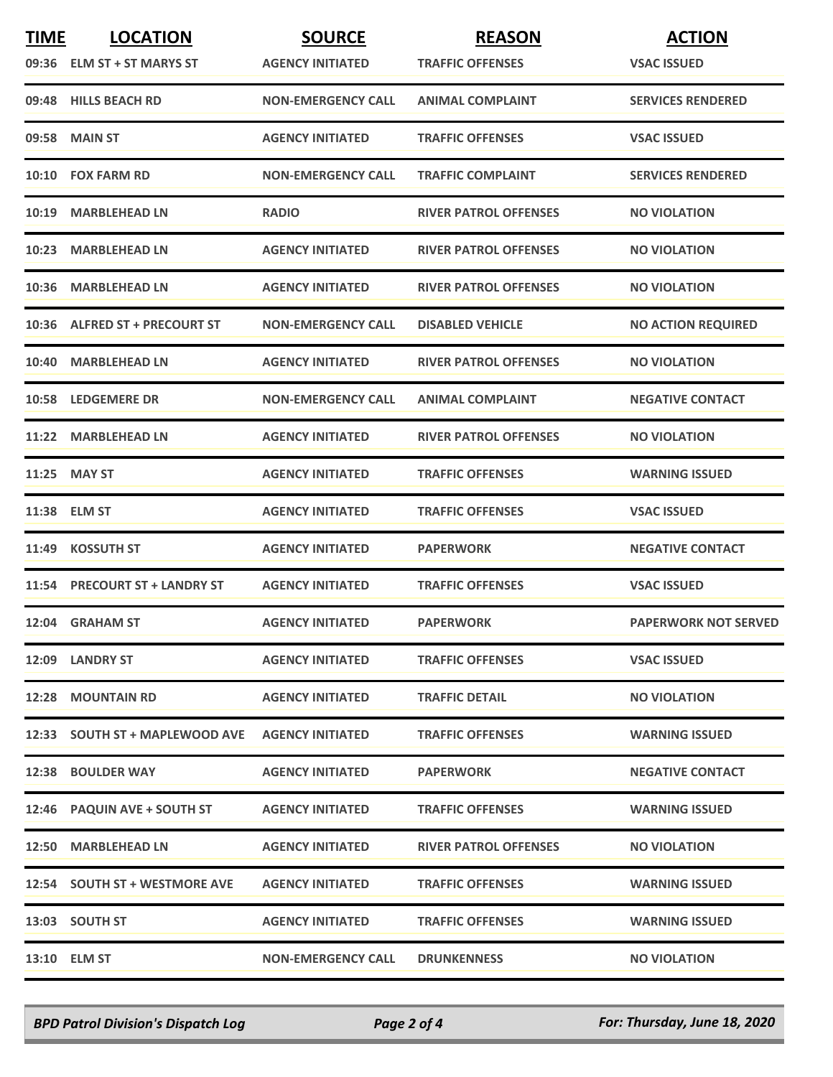| <b>TIME</b> | <b>LOCATION</b>                | <b>SOURCE</b>             | <b>REASON</b>                | <b>ACTION</b>               |
|-------------|--------------------------------|---------------------------|------------------------------|-----------------------------|
|             | 09:36 ELM ST + ST MARYS ST     | <b>AGENCY INITIATED</b>   | <b>TRAFFIC OFFENSES</b>      | <b>VSAC ISSUED</b>          |
|             | 09:48 HILLS BEACH RD           | <b>NON-EMERGENCY CALL</b> | <b>ANIMAL COMPLAINT</b>      | <b>SERVICES RENDERED</b>    |
| 09:58       | <b>MAIN ST</b>                 | <b>AGENCY INITIATED</b>   | <b>TRAFFIC OFFENSES</b>      | <b>VSAC ISSUED</b>          |
|             | 10:10 FOX FARM RD              | <b>NON-EMERGENCY CALL</b> | <b>TRAFFIC COMPLAINT</b>     | <b>SERVICES RENDERED</b>    |
| 10:19       | <b>MARBLEHEAD LN</b>           | <b>RADIO</b>              | <b>RIVER PATROL OFFENSES</b> | <b>NO VIOLATION</b>         |
| 10:23       | <b>MARBLEHEAD LN</b>           | <b>AGENCY INITIATED</b>   | <b>RIVER PATROL OFFENSES</b> | <b>NO VIOLATION</b>         |
| 10:36       | <b>MARBLEHEAD LN</b>           | <b>AGENCY INITIATED</b>   | <b>RIVER PATROL OFFENSES</b> | <b>NO VIOLATION</b>         |
|             | 10:36 ALFRED ST + PRECOURT ST  | <b>NON-EMERGENCY CALL</b> | <b>DISABLED VEHICLE</b>      | <b>NO ACTION REQUIRED</b>   |
| 10:40       | <b>MARBLEHEAD LN</b>           | <b>AGENCY INITIATED</b>   | <b>RIVER PATROL OFFENSES</b> | <b>NO VIOLATION</b>         |
|             | 10:58 LEDGEMERE DR             | <b>NON-EMERGENCY CALL</b> | <b>ANIMAL COMPLAINT</b>      | <b>NEGATIVE CONTACT</b>     |
|             | 11:22 MARBLEHEAD LN            | <b>AGENCY INITIATED</b>   | <b>RIVER PATROL OFFENSES</b> | <b>NO VIOLATION</b>         |
| 11:25       | <b>MAY ST</b>                  | <b>AGENCY INITIATED</b>   | <b>TRAFFIC OFFENSES</b>      | <b>WARNING ISSUED</b>       |
|             | 11:38 ELM ST                   | <b>AGENCY INITIATED</b>   | <b>TRAFFIC OFFENSES</b>      | <b>VSAC ISSUED</b>          |
| 11:49       | <b>KOSSUTH ST</b>              | <b>AGENCY INITIATED</b>   | <b>PAPERWORK</b>             | <b>NEGATIVE CONTACT</b>     |
|             | 11:54 PRECOURT ST + LANDRY ST  | <b>AGENCY INITIATED</b>   | <b>TRAFFIC OFFENSES</b>      | <b>VSAC ISSUED</b>          |
|             | 12:04 GRAHAM ST                | <b>AGENCY INITIATED</b>   | <b>PAPERWORK</b>             | <b>PAPERWORK NOT SERVED</b> |
|             | 12:09 LANDRY ST                | <b>AGENCY INITIATED</b>   | <b>TRAFFIC OFFENSES</b>      | <b>VSAC ISSUED</b>          |
|             | <b>12:28 MOUNTAIN RD</b>       | <b>AGENCY INITIATED</b>   | <b>TRAFFIC DETAIL</b>        | <b>NO VIOLATION</b>         |
|             | 12:33 SOUTH ST + MAPLEWOOD AVE | <b>AGENCY INITIATED</b>   | <b>TRAFFIC OFFENSES</b>      | <b>WARNING ISSUED</b>       |
|             | 12:38 BOULDER WAY              | <b>AGENCY INITIATED</b>   | <b>PAPERWORK</b>             | <b>NEGATIVE CONTACT</b>     |
|             | 12:46 PAQUIN AVE + SOUTH ST    | <b>AGENCY INITIATED</b>   | <b>TRAFFIC OFFENSES</b>      | <b>WARNING ISSUED</b>       |
|             | 12:50 MARBLEHEAD LN            | <b>AGENCY INITIATED</b>   | <b>RIVER PATROL OFFENSES</b> | <b>NO VIOLATION</b>         |
|             | 12:54 SOUTH ST + WESTMORE AVE  | <b>AGENCY INITIATED</b>   | <b>TRAFFIC OFFENSES</b>      | <b>WARNING ISSUED</b>       |
|             | 13:03 SOUTH ST                 | <b>AGENCY INITIATED</b>   | <b>TRAFFIC OFFENSES</b>      | <b>WARNING ISSUED</b>       |
|             | 13:10 ELM ST                   | <b>NON-EMERGENCY CALL</b> | <b>DRUNKENNESS</b>           | <b>NO VIOLATION</b>         |

*BPD Patrol Division's Dispatch Log Page 2 of 4 For: Thursday, June 18, 2020*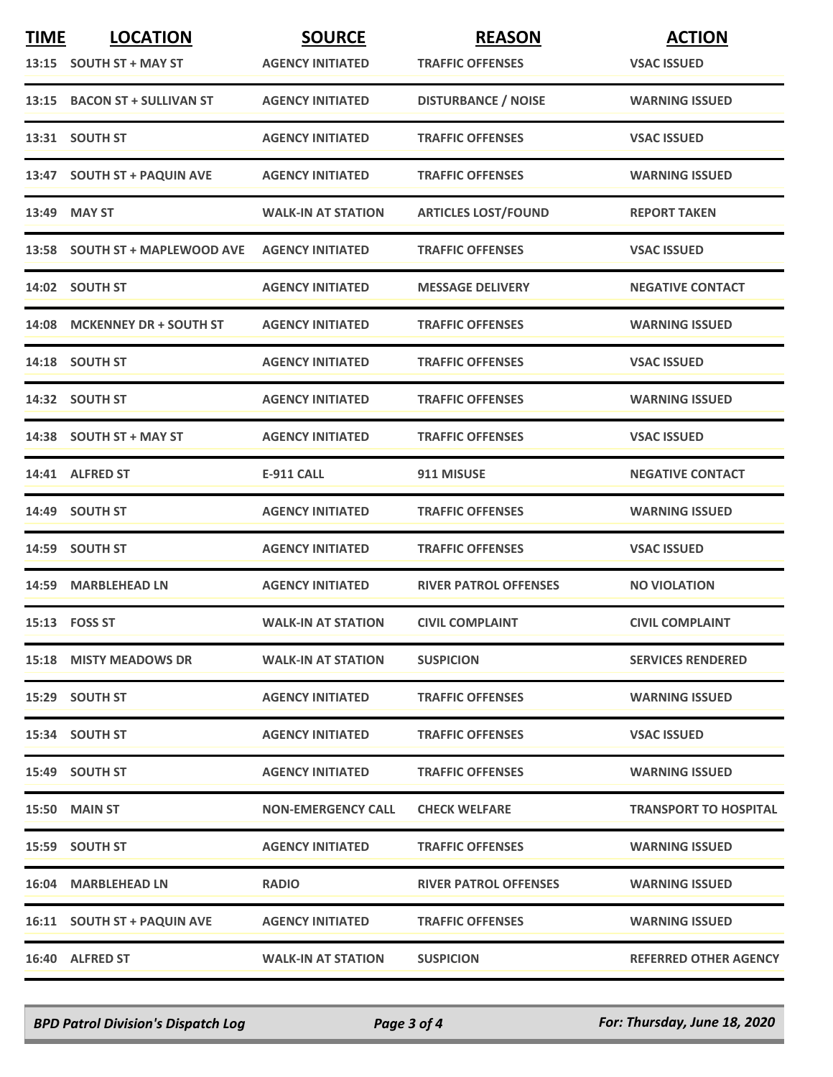| <b>TIME</b> | <b>LOCATION</b>                | <b>SOURCE</b>             | <b>REASON</b>                | <b>ACTION</b>                |
|-------------|--------------------------------|---------------------------|------------------------------|------------------------------|
|             | 13:15 SOUTH ST + MAY ST        | <b>AGENCY INITIATED</b>   | <b>TRAFFIC OFFENSES</b>      | <b>VSAC ISSUED</b>           |
|             | 13:15 BACON ST + SULLIVAN ST   | <b>AGENCY INITIATED</b>   | <b>DISTURBANCE / NOISE</b>   | <b>WARNING ISSUED</b>        |
|             | 13:31 SOUTH ST                 | <b>AGENCY INITIATED</b>   | <b>TRAFFIC OFFENSES</b>      | <b>VSAC ISSUED</b>           |
|             | 13:47 SOUTH ST + PAQUIN AVE    | <b>AGENCY INITIATED</b>   | <b>TRAFFIC OFFENSES</b>      | <b>WARNING ISSUED</b>        |
| 13:49       | <b>MAY ST</b>                  | <b>WALK-IN AT STATION</b> | <b>ARTICLES LOST/FOUND</b>   | <b>REPORT TAKEN</b>          |
|             | 13:58 SOUTH ST + MAPLEWOOD AVE | <b>AGENCY INITIATED</b>   | <b>TRAFFIC OFFENSES</b>      | <b>VSAC ISSUED</b>           |
|             | 14:02 SOUTH ST                 | <b>AGENCY INITIATED</b>   | <b>MESSAGE DELIVERY</b>      | <b>NEGATIVE CONTACT</b>      |
|             | 14:08 MCKENNEY DR + SOUTH ST   | <b>AGENCY INITIATED</b>   | <b>TRAFFIC OFFENSES</b>      | <b>WARNING ISSUED</b>        |
|             | 14:18 SOUTH ST                 | <b>AGENCY INITIATED</b>   | <b>TRAFFIC OFFENSES</b>      | <b>VSAC ISSUED</b>           |
|             | 14:32 SOUTH ST                 | <b>AGENCY INITIATED</b>   | <b>TRAFFIC OFFENSES</b>      | <b>WARNING ISSUED</b>        |
|             | 14:38 SOUTH ST + MAY ST        | <b>AGENCY INITIATED</b>   | <b>TRAFFIC OFFENSES</b>      | <b>VSAC ISSUED</b>           |
|             | 14:41 ALFRED ST                | <b>E-911 CALL</b>         | 911 MISUSE                   | <b>NEGATIVE CONTACT</b>      |
|             | 14:49 SOUTH ST                 | <b>AGENCY INITIATED</b>   | <b>TRAFFIC OFFENSES</b>      | <b>WARNING ISSUED</b>        |
|             | 14:59 SOUTH ST                 | <b>AGENCY INITIATED</b>   | <b>TRAFFIC OFFENSES</b>      | <b>VSAC ISSUED</b>           |
| 14:59       | <b>MARBLEHEAD LN</b>           | <b>AGENCY INITIATED</b>   | <b>RIVER PATROL OFFENSES</b> | <b>NO VIOLATION</b>          |
|             | 15:13    FOSS ST               | <b>WALK-IN AT STATION</b> | <b>CIVIL COMPLAINT</b>       | <b>CIVIL COMPLAINT</b>       |
|             | 15:18 MISTY MEADOWS DR         | <b>WALK-IN AT STATION</b> | <b>SUSPICION</b>             | <b>SERVICES RENDERED</b>     |
|             | 15:29 SOUTH ST                 | <b>AGENCY INITIATED</b>   | <b>TRAFFIC OFFENSES</b>      | <b>WARNING ISSUED</b>        |
|             | 15:34 SOUTH ST                 | <b>AGENCY INITIATED</b>   | <b>TRAFFIC OFFENSES</b>      | <b>VSAC ISSUED</b>           |
|             | 15:49 SOUTH ST                 | <b>AGENCY INITIATED</b>   | <b>TRAFFIC OFFENSES</b>      | <b>WARNING ISSUED</b>        |
|             | 15:50 MAIN ST                  | <b>NON-EMERGENCY CALL</b> | <b>CHECK WELFARE</b>         | <b>TRANSPORT TO HOSPITAL</b> |
|             | 15:59 SOUTH ST                 | <b>AGENCY INITIATED</b>   | <b>TRAFFIC OFFENSES</b>      | <b>WARNING ISSUED</b>        |
|             | 16:04 MARBLEHEAD LN            | <b>RADIO</b>              | <b>RIVER PATROL OFFENSES</b> | <b>WARNING ISSUED</b>        |
|             | 16:11 SOUTH ST + PAQUIN AVE    | <b>AGENCY INITIATED</b>   | <b>TRAFFIC OFFENSES</b>      | <b>WARNING ISSUED</b>        |
|             | 16:40 ALFRED ST                | <b>WALK-IN AT STATION</b> | <b>SUSPICION</b>             | <b>REFERRED OTHER AGENCY</b> |

*BPD Patrol Division's Dispatch Log Page 3 of 4 For: Thursday, June 18, 2020*